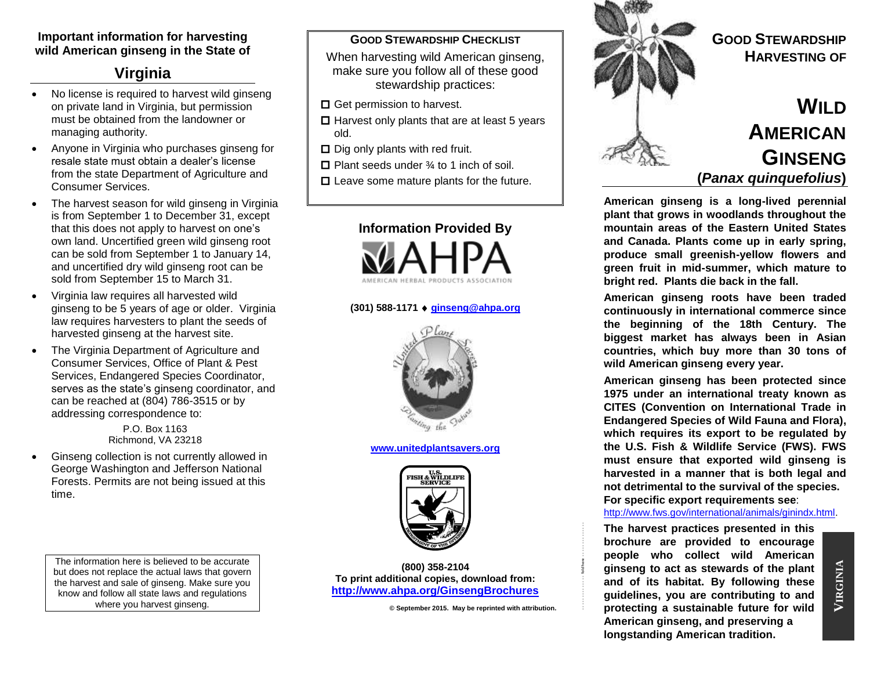## **Important information for harvesting wild American ginseng in the State of**

# **Virginia**

- No license is required to harvest wild ginseng on private land in Virginia, but permission must be obtained from the landowner or managing authority.
- Anyone in Virginia who purchases ginseng for resale state must obtain a dealer's license from the state Department of Agriculture and Consumer Services.
- The harvest season for wild ginseng in Virginia is from September 1 to December 31, except that this does not apply to harvest on one's own land. Uncertified green wild ginseng root can be sold from September 1 to January 14, and uncertified dry wild ginseng root can be sold from September 15 to March 31.
- Virginia law requires all harvested wild ginseng to be 5 years of age or older. Virginia law requires harvesters to plant the seeds of harvested ginseng at the harvest site.
- The Virginia Department of Agriculture and Consumer Services, Office of Plant & Pest Services, Endangered Species Coordinator, serves as the state's ginseng coordinator, and can be reached at (804) 786-3515 or by addressing correspondence to:

P.O. Box 1163 Richmond, VA 23218

 Ginseng collection is not currently allowed in George Washington and Jefferson National Forests. Permits are not being issued at this time.

The information here is believed to be accurate but does not replace the actual laws that govern the harvest and sale of ginseng. Make sure you know and follow all state laws and regulations where you harvest ginseng.

#### **GOOD STEWARDSHIP CHECKLIST**

When harvesting wild American ginseng, make sure you follow all of these good stewardship practices:

- $\Box$  Get permission to harvest.
- $\Box$  Harvest only plants that are at least 5 years old.
- $\Box$  Dig only plants with red fruit.
- $\Box$  Plant seeds under  $\frac{3}{4}$  to 1 inch of soil.
- $\Box$  Leave some mature plants for the future.



#### **(301) 588-1171 [ginseng@ahpa.org](mailto:ginseng@ahpa.org)**



**[www.unitedplantsavers.org](http://www.unitedplantsavers.org/)**



**(800) 358-2104 To print additional copies, download from: <http://www.ahpa.org/GinsengBrochures>**

**© September 2015. May be reprinted with attribution.**

- - - - - - - - - - - - - fold here - - - - - - - - - - - - - -



**American ginseng is a long-lived perennial plant that grows in woodlands throughout the mountain areas of the Eastern United States and Canada. Plants come up in early spring, produce small greenish-yellow flowers and green fruit in mid-summer, which mature to bright red. Plants die back in the fall.** 

**American ginseng roots have been traded continuously in international commerce since the beginning of the 18th Century. The biggest market has always been in Asian countries, which buy more than 30 tons of wild American ginseng every year.**

**American ginseng has been protected since 1975 under an international treaty known as CITES (Convention on International Trade in Endangered Species of Wild Fauna and Flora), which requires its export to be regulated by the U.S. Fish & Wildlife Service (FWS). FWS must ensure that exported wild ginseng is harvested in a manner that is both legal and not detrimental to the survival of the species. For specific export requirements see**:

#### [http://www.fws.gov/international/animals/ginindx.html.](http://www.fws.gov/international/animals/ginindx.html)

**The harvest practices presented in this brochure are provided to encourage people who collect wild American ginseng to act as stewards of the plant and of its habitat. By following these guidelines, you are contributing to and protecting a sustainable future for wild American ginseng, and preserving a longstanding American tradition.**